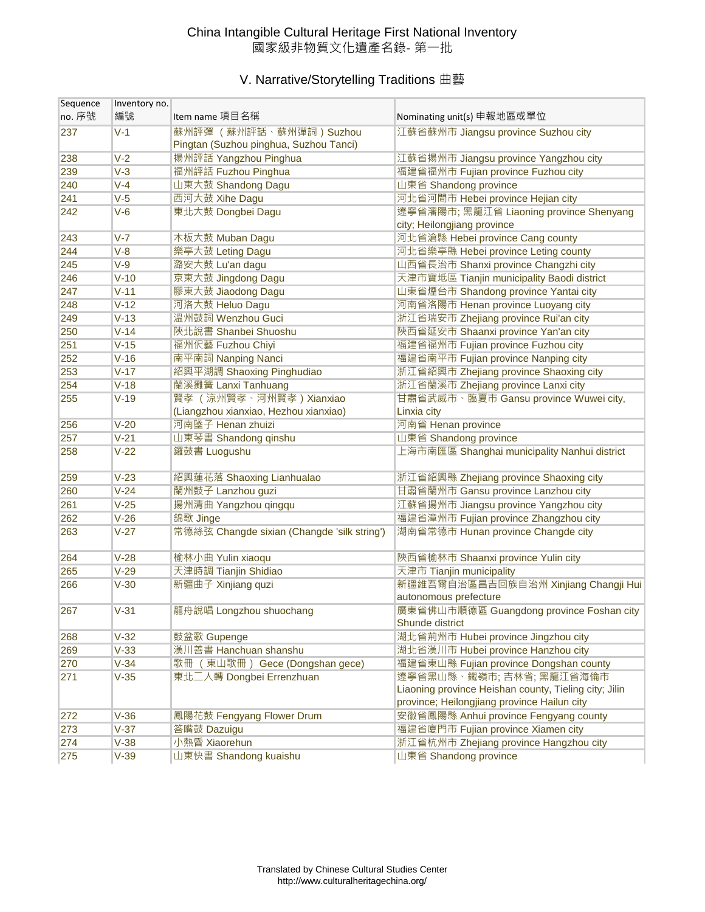## China Intangible Cultural Heritage First National Inventory 國家級非物質文化遺產名錄- 第一批

## V. Narrative/Storytelling Traditions 曲藝

| Sequence | Inventory no. |                                                                   |                                                             |
|----------|---------------|-------------------------------------------------------------------|-------------------------------------------------------------|
| no. 序號   | 編號            | Item name 項目名稱                                                    | Nominating unit(s) 申報地區或單位                                  |
| 237      | $V-1$         | 蘇州評彈 (蘇州評話、蘇州彈詞) Suzhou<br>Pingtan (Suzhou pinghua, Suzhou Tanci) | 江蘇省蘇州市 Jiangsu province Suzhou city                         |
| 238      | $V-2$         | 揚州評話 Yangzhou Pinghua                                             | 江蘇省揚州市 Jiangsu province Yangzhou city                       |
| 239      | $V-3$         | 福州評話 Fuzhou Pinghua                                               | 福建省福州市 Fujian province Fuzhou city                          |
| 240      | $V-4$         | 山東大鼓 Shandong Dagu                                                | 山東省 Shandong province                                       |
| 241      | $V-5$         | 西河大鼓 Xihe Dagu                                                    | 河北省河間市 Hebei province Hejian city                           |
| 242      | $V-6$         | 東北大鼓 Dongbei Dagu                                                 | 遼寧省瀋陽市; 黑龍江省 Liaoning province Shenyang                     |
|          |               |                                                                   | city; Heilongjiang province                                 |
| 243      | $V - 7$       | 木板大鼓 Muban Dagu                                                   | 河北省滄縣 Hebei province Cang county                            |
| 244      | $V-8$         | 樂亭大鼓 Leting Dagu                                                  | 河北省樂亭縣 Hebei province Leting county                         |
| 245      | $V-9$         | 潞安大鼓 Lu'an dagu                                                   | 山西省長治市 Shanxi province Changzhi city                        |
| 246      | $V-10$        | 京東大鼓 Jingdong Dagu                                                | 天津市寶坻區 Tianjin municipality Baodi district                  |
| 247      | $V-11$        | 膠東大鼓 Jiaodong Dagu                                                | 山東省煙台市 Shandong province Yantai city                        |
| 248      | $V-12$        | 河洛大鼓 Heluo Dagu                                                   | 河南省洛陽市 Henan province Luoyang city                          |
| 249      | $V-13$        | 溫州鼓詞 Wenzhou Guci                                                 | 浙江省瑞安市 Zhejiang province Rui'an city                        |
| 250      | $V-14$        | 陝北說書 Shanbei Shuoshu                                              | 陝西省延安市 Shaanxi province Yan'an city                         |
| 251      | $V-15$        | 福州伬藝 Fuzhou Chiyi                                                 | 福建省福州市 Fujian province Fuzhou city                          |
| 252      | $V-16$        | 南平南詞 Nanping Nanci                                                | 福建省南平市 Fujian province Nanping city                         |
| 253      | $V-17$        | 紹興平湖調 Shaoxing Pinghudiao                                         | 浙江省紹興市 Zhejiang province Shaoxing city                      |
| 254      | $V-18$        | 蘭溪攤簧 Lanxi Tanhuang                                               | 浙江省蘭溪市 Zhejiang province Lanxi city                         |
| 255      | $V-19$        | 賢孝 (涼州賢孝、河州賢孝) Xianxiao                                           | 甘肅省武威市、臨夏市 Gansu province Wuwei city,                       |
|          |               | (Liangzhou xianxiao, Hezhou xianxiao)                             | Linxia city                                                 |
| 256      | $V-20$        | 河南墜子 Henan zhuizi                                                 | 河南省 Henan province                                          |
| 257      | $V-21$        | 山東琴書 Shandong qinshu                                              | 山東省 Shandong province                                       |
| 258      | $V-22$        | 鑼鼓書 Luogushu                                                      | 上海市南匯區 Shanghai municipality Nanhui district                |
| 259      | $V-23$        | 紹興蓮花落 Shaoxing Lianhualao                                         | 浙江省紹興縣 Zhejiang province Shaoxing city                      |
| 260      | $V-24$        | 蘭州鼓子 Lanzhou guzi                                                 | 甘肅省蘭州市 Gansu province Lanzhou city                          |
| 261      | $V-25$        | 揚州清曲 Yangzhou qingqu                                              | 江蘇省揚州市 Jiangsu province Yangzhou city                       |
| 262      | $V-26$        | 錦歌 Jinge                                                          | 福建省漳州市 Fujian province Zhangzhou city                       |
| 263      | $V-27$        | 常德絲弦 Changde sixian (Changde 'silk string')                       | 湖南省常德市 Hunan province Changde city                          |
| 264      | $V-28$        | 榆林小曲 Yulin xiaoqu                                                 | 陝西省榆林市 Shaanxi province Yulin city                          |
| 265      | $V-29$        | 天津時調 Tianjin Shidiao                                              | 天津市 Tianjin municipality                                    |
| 266      | $V-30$        | 新疆曲子 Xinjiang quzi                                                | 新疆維吾爾自治區昌吉回族自治州 Xinjiang Changji Hui                        |
|          |               |                                                                   | autonomous prefecture                                       |
| 267      | $V-31$        | 龍舟說唱 Longzhou shuochang                                           | 廣東省佛山市順德區 Guangdong province Foshan city<br>Shunde district |
| 268      | $V-32$        | 鼓盆歌 Gupenge                                                       | 湖北省荊州市 Hubei province Jingzhou city                         |
| 269      | $V-33$        | 漢川善書 Hanchuan shanshu                                             | 湖北省漢川市 Hubei province Hanzhou city                          |
| 270      | $V-34$        | 歌冊 (東山歌冊) Gece (Dongshan gece)                                    | 福建省東山縣 Fujian province Dongshan county                      |
| 271      | $V-35$        | 東北二人轉 Dongbei Errenzhuan                                          | 遼寧省黑山縣、鐵嶺市;吉林省;黑龍江省海倫市                                      |
|          |               |                                                                   | Liaoning province Heishan county, Tieling city; Jilin       |
|          |               |                                                                   | province; Heilongjiang province Hailun city                 |
| 272      | $V-36$        | 鳳陽花鼓 Fengyang Flower Drum                                         | 安徽省鳳陽縣 Anhui province Fengyang county                       |
| 273      | $V-37$        | 答嘴鼓 Dazuigu                                                       | 福建省廈門市 Fujian province Xiamen city                          |
| 274      | $V-38$        | 小熱昏 Xiaorehun                                                     | 浙江省杭州市 Zhejiang province Hangzhou city                      |
| 275      | $V-39$        | 山東快書 Shandong kuaishu                                             | 山東省 Shandong province                                       |
|          |               |                                                                   |                                                             |